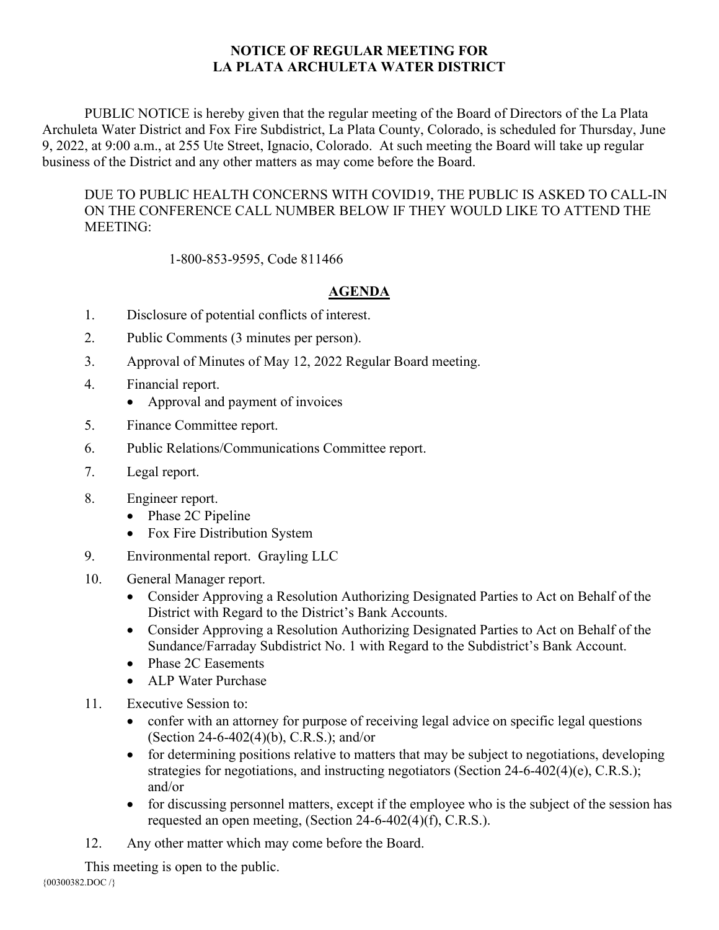## **NOTICE OF REGULAR MEETING FOR LA PLATA ARCHULETA WATER DISTRICT**

PUBLIC NOTICE is hereby given that the regular meeting of the Board of Directors of the La Plata Archuleta Water District and Fox Fire Subdistrict, La Plata County, Colorado, is scheduled for Thursday, June 9, 2022, at 9:00 a.m., at 255 Ute Street, Ignacio, Colorado. At such meeting the Board will take up regular business of the District and any other matters as may come before the Board.

DUE TO PUBLIC HEALTH CONCERNS WITH COVID19, THE PUBLIC IS ASKED TO CALL-IN ON THE CONFERENCE CALL NUMBER BELOW IF THEY WOULD LIKE TO ATTEND THE MEETING:

1-800-853-9595, Code 811466

## **AGENDA**

- 1. Disclosure of potential conflicts of interest.
- 2. Public Comments (3 minutes per person).
- 3. Approval of Minutes of May 12, 2022 Regular Board meeting.
- 4. Financial report.
	- Approval and payment of invoices
- 5. Finance Committee report.
- 6. Public Relations/Communications Committee report.
- 7. Legal report.
- 8. Engineer report.
	- Phase 2C Pipeline
	- Fox Fire Distribution System
- 9. Environmental report. Grayling LLC
- 10. General Manager report.
	- Consider Approving a Resolution Authorizing Designated Parties to Act on Behalf of the District with Regard to the District's Bank Accounts.
	- Consider Approving a Resolution Authorizing Designated Parties to Act on Behalf of the Sundance/Farraday Subdistrict No. 1 with Regard to the Subdistrict's Bank Account.
	- Phase 2C Easements
	- ALP Water Purchase
- 11. Executive Session to:
	- confer with an attorney for purpose of receiving legal advice on specific legal questions (Section 24-6-402(4)(b), C.R.S.); and/or
	- for determining positions relative to matters that may be subject to negotiations, developing strategies for negotiations, and instructing negotiators (Section 24-6-402(4)(e), C.R.S.); and/or
	- for discussing personnel matters, except if the employee who is the subject of the session has requested an open meeting, (Section 24-6-402(4)(f), C.R.S.).
- 12. Any other matter which may come before the Board.

This meeting is open to the public.